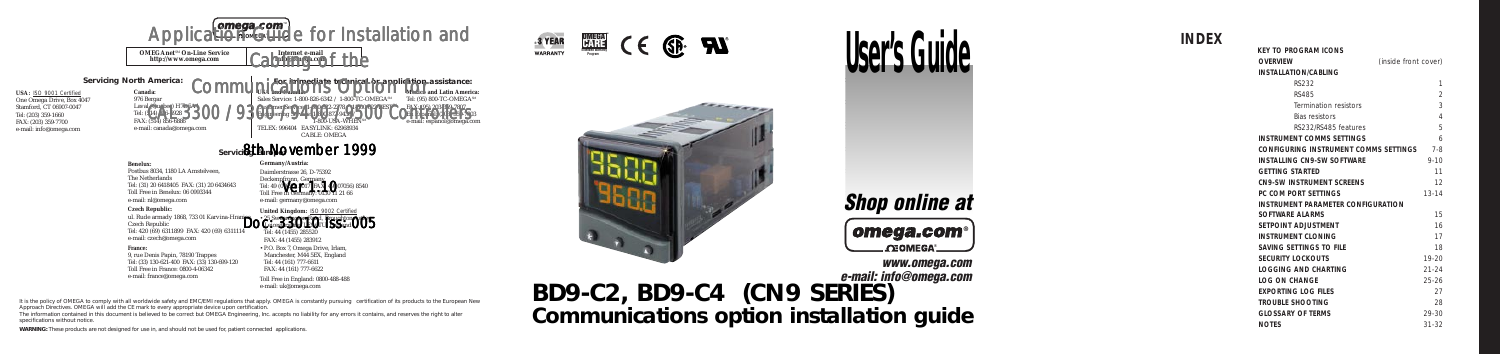





# **Shop online at**



**www.omega.com e-mail: info@omega.com BD9-C2, BD9-C4 (CN9 SERIES) Communications option installation guide**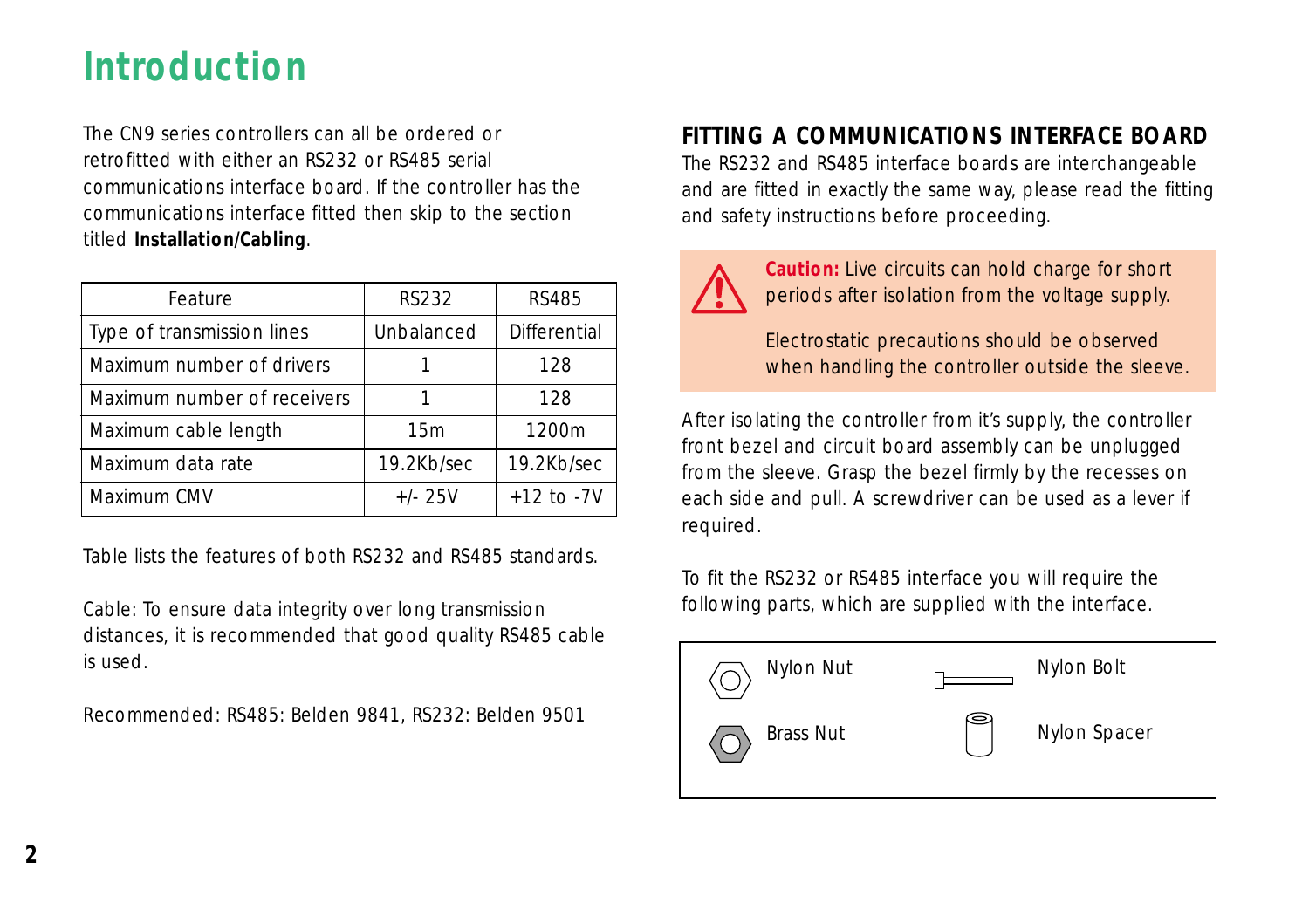# **Introduction**

The CN9 series controllers can all be ordered or retrofitted with either an RS232 or RS485 serial communications interface board. If the controller has the communications interface fitted then skip to the section titled **Installation/Cabling**.

| Feature                     | <b>RS232</b> | <b>RS485</b>        |
|-----------------------------|--------------|---------------------|
| Type of transmission lines  | Unbalanced   | <b>Differential</b> |
| Maximum number of drivers   |              | 128                 |
| Maximum number of receivers |              | 128                 |
| Maximum cable length        | 15m          | 1200m               |
| Maximum data rate           | 19.2Kb/sec   | 19.2Kb/sec          |
| Maximum CMV                 | $+/- 25V$    | $+12$ to $-7V$      |

Table lists the features of both RS232 and RS485 standards.

Cable: To ensure data integrity over long transmission distances, it is recommended that good quality RS485 cable is used.

Recommended: RS485: Belden 9841, RS232: Belden 9501

# **FITTING A COMMUNICATIONS INTERFACE BOARD**

The RS232 and RS485 interface boards are interchangeable and are fitted in exactly the same way, please read the fitting and safety instructions before proceeding.



**Caution:** Live circuits can hold charge for short periods after isolation from the voltage supply.

Electrostatic precautions should be observed when handling the controller outside the sleeve.

After isolating the controller from it's supply, the controller front bezel and circuit board assembly can be unplugged from the sleeve. Grasp the bezel firmly by the recesses on each side and pull. A screwdriver can be used as a lever if required.

To fit the RS232 or RS485 interface you will require the following parts, which are supplied with the interface.

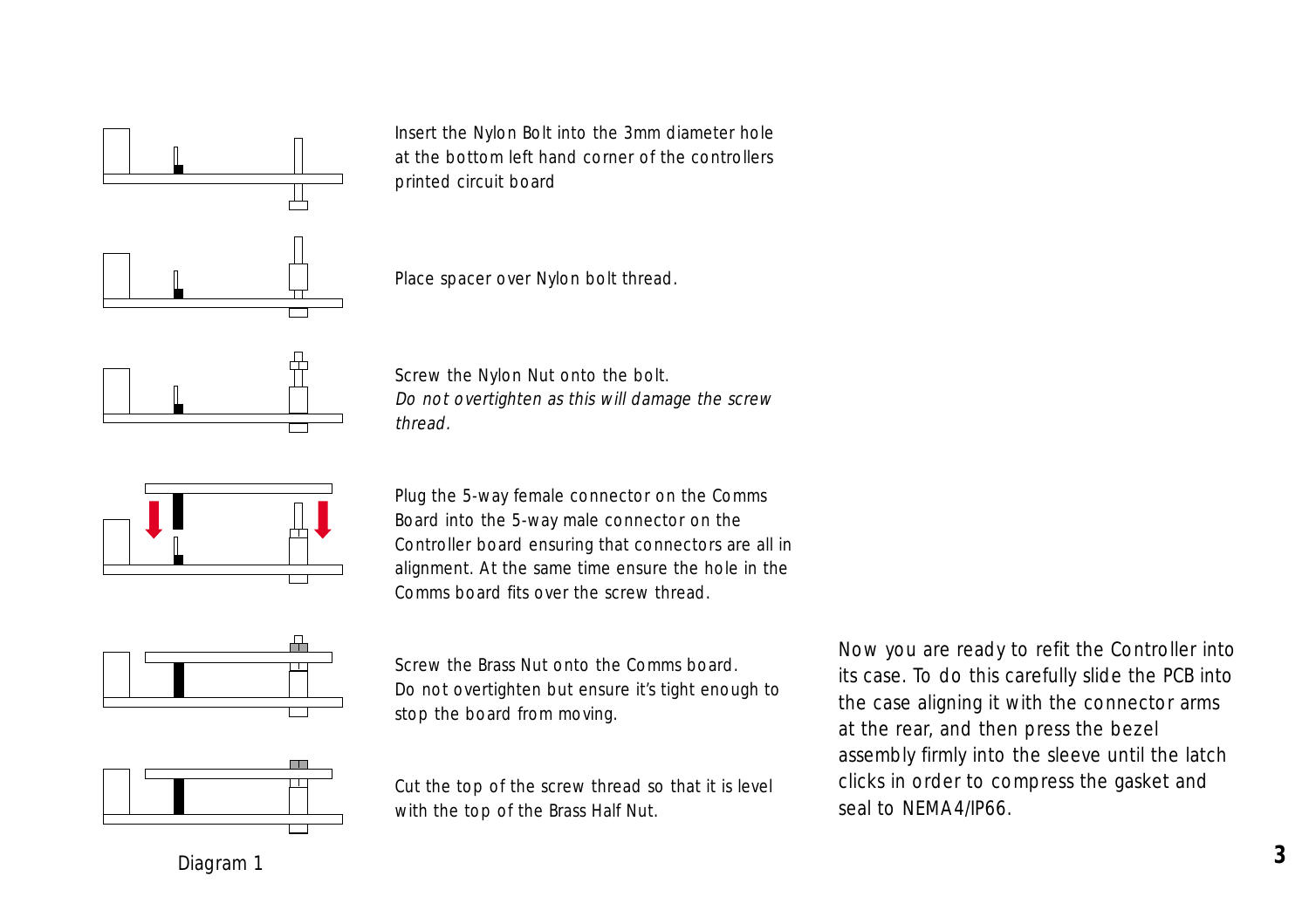

Insert the Nylon Bolt into the 3mm diameter hole at the bottom left hand corner of the controllers printed circuit board

Place spacer over Nylon bolt thread.





Screw the Nylon Nut onto the bolt. Do not overtighten as this will damage the screw thread.

Plug the 5-way female connector on the Comms Board into the 5-way male connector on the Controller board ensuring that connectors are all in alignment. At the same time ensure the hole in the Comms board fits over the screw thread.



Screw the Brass Nut onto the Comms board. Do not overtighten but ensure it's tight enough to stop the board from moving.

Cut the top of the screw thread so that it is level with the top of the Brass Half Nut.

Now you are ready to refit the Controller into its case. To do this carefully slide the PCB into the case aligning it with the connector arms at the rear, and then press the bezel assembly firmly into the sleeve until the latch clicks in order to compress the gasket and seal to NEMA4/IP66.

Diagram 1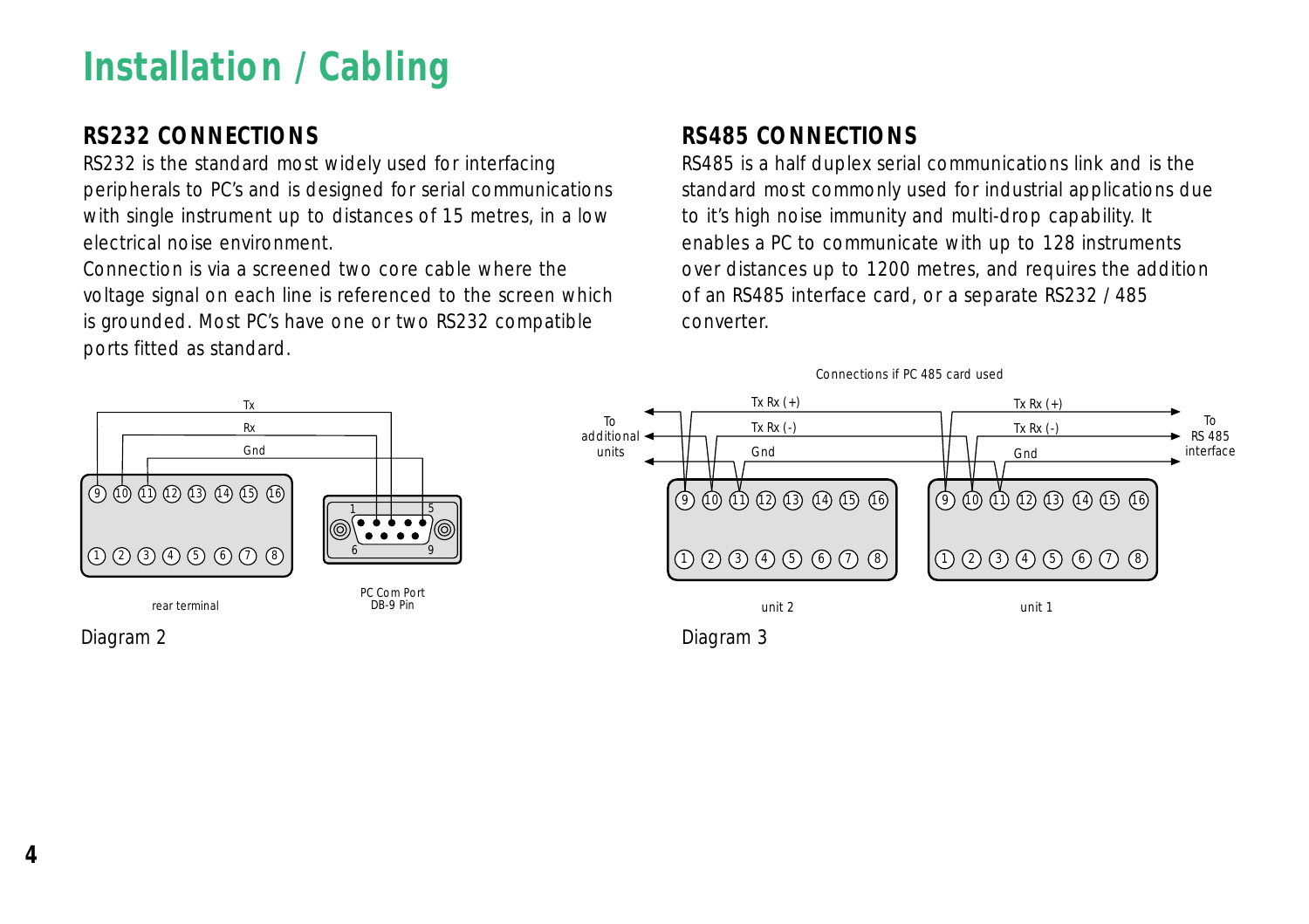# **Installation / Cabling**

# **RS232 CONNECTIONS**

RS232 is the standard most widely used for interfacing peripherals to PC's and is designed for serial communications with single instrument up to distances of 15 metres, in a low electrical noise environment.

Connection is via a screened two core cable where the voltage signal on each line is referenced to the screen which is grounded. Most PC's have one or two RS232 compatible ports fitted as standard.

# **RS485 CONNECTIONS**

RS485 is a half duplex serial communications link and is the standard most commonly used for industrial applications due to it's high noise immunity and multi-drop capability. It enables a PC to communicate with up to 128 instruments over distances up to 1200 metres, and requires the addition of an RS485 interface card, or a separate RS232 / 485 converter.

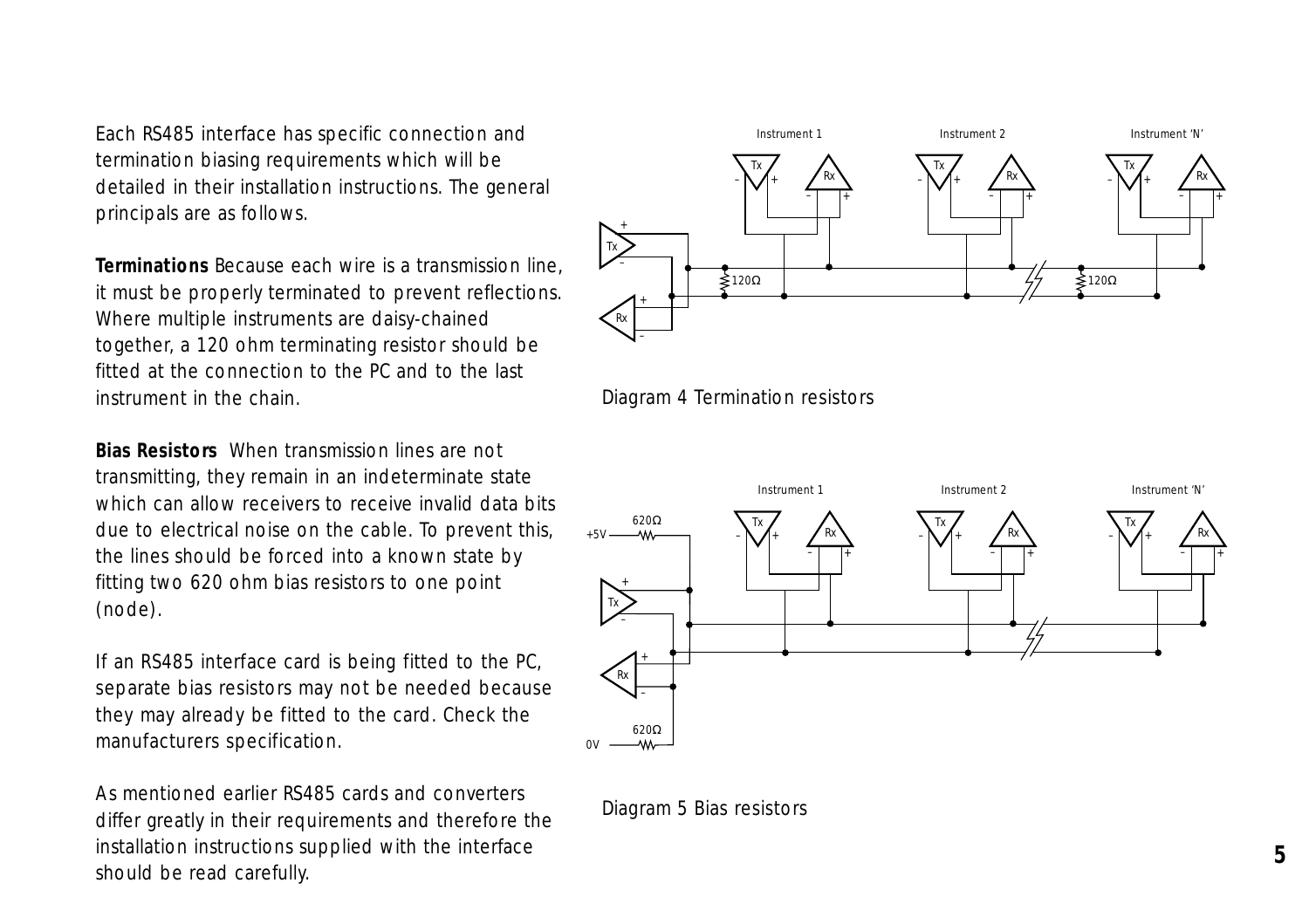Each RS485 interface has specific connection and termination biasing requirements which will be detailed in their installation instructions. The general principals are as follows.

**Terminations** Because each wire is a transmission line, it must be properly terminated to prevent reflections. Where multiple instruments are daisy-chained together, a 120 ohm terminating resistor should be fitted at the connection to the PC and to the last instrument in the chain.

**Bias Resistors** When transmission lines are not transmitting, they remain in an indeterminate state which can allow receivers to receive invalid data bits due to electrical noise on the cable. To prevent this, the lines should be forced into a known state by fitting two 620 ohm bias resistors to one point (node).

If an RS485 interface card is being fitted to the PC, separate bias resistors may not be needed because they may already be fitted to the card. Check the manufacturers specification.

As mentioned earlier RS485 cards and converters differ greatly in their requirements and therefore the installation instructions supplied with the interface should be read carefully.







Diagram 5 Bias resistors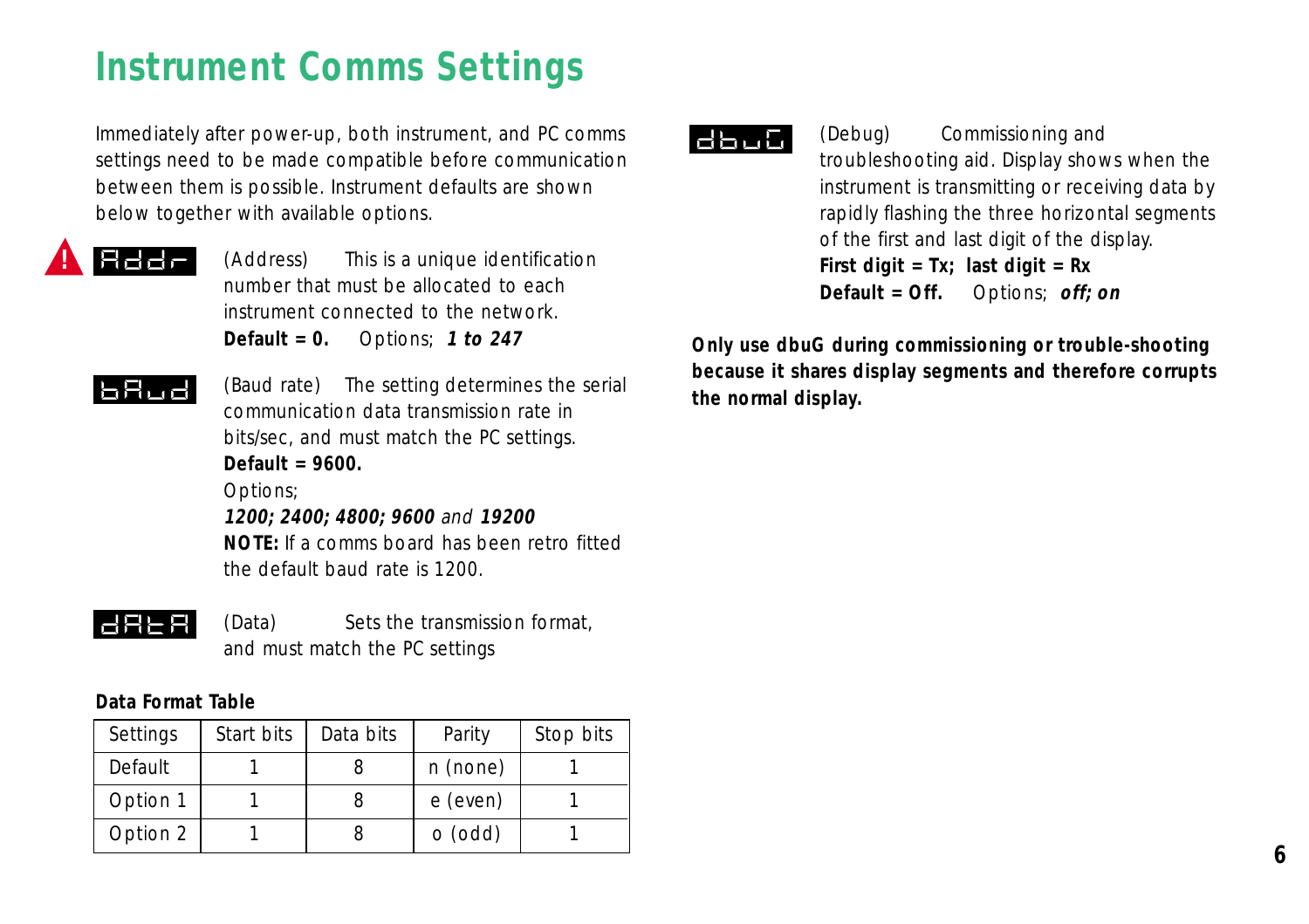# **Instrument Comms Settings**

Immediately after power-up, both instrument, and PC comms settings need to be made compatible before communication between them is possible. Instrument defaults are shown below together with available options.



(Address) This is a unique identification number that must be allocated to each instrument connected to the network. **Default = 0.** Options; **1 to 247**

# **BBud**

(Baud rate) The setting determines the serial communication data transmission rate in bits/sec, and must match the PC settings. **Default = 9600.** Options; **1200; 2400; 4800; 9600** and **19200 NOTE:** If a comms board has been retro fitted

**HALB** 

(Data) Sets the transmission format, and must match the PC settings

### **Data Format Table**

| Settings | Start bits | Data bits | Parity    | Stop bits |
|----------|------------|-----------|-----------|-----------|
| Default  |            |           | n (none)  |           |
| Option 1 |            |           | e (even)  |           |
| Option 2 |            |           | $o$ (odd) |           |

the default baud rate is 1200.



(Debug) Commissioning and troubleshooting aid. Display shows when the instrument is transmitting or receiving data by rapidly flashing the three horizontal segments of the first and last digit of the display. **First digit = Tx; last digit = Rx Default = Off.** Options; **off; on**

**Only use dbuG during commissioning or trouble-shooting because it shares display segments and therefore corrupts the normal display.**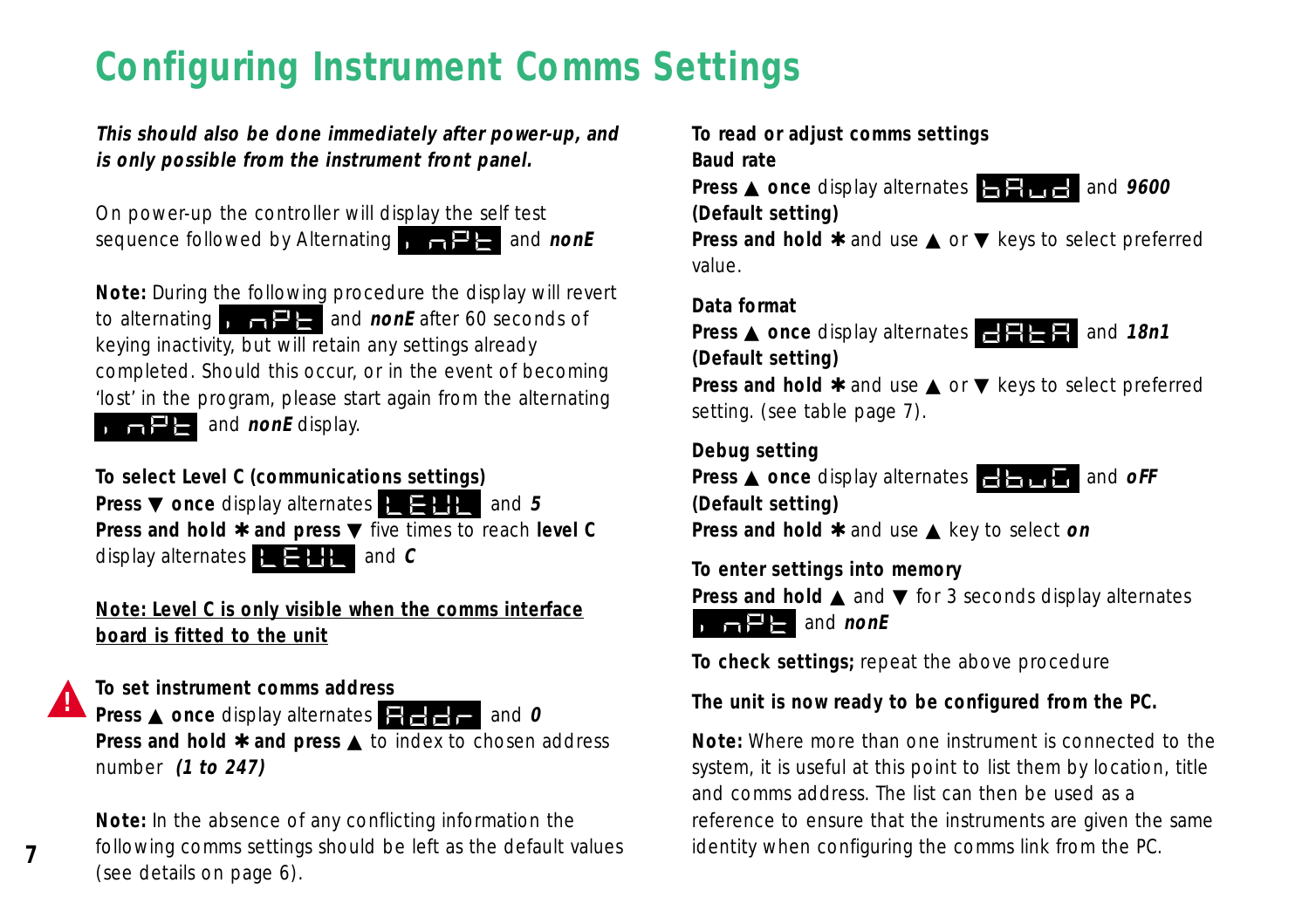# **Configuring Instrument Comms Settings**

**This should also be done immediately after power-up, and is only possible from the instrument front panel.**

On power-up the controller will display the self test sequence followed by Alternating **INPT and nonE** 

**Note:** During the following procedure the display will revert to alternating **INPT** and **nonE** after 60 seconds of keying inactivity, but will retain any settings already completed. Should this occur, or in the event of becoming 'lost' in the program, please start again from the alternating **INPT** and **nonE** display.

**To select Level C (communications settings)** 

**Press ▼ once display alternates LEVL** and 5 **Press and hold** ✱ **and press** ▼ five times to reach **level C** display alternates  $\mathbf{E} = \mathbf{H}$  and  $\mathbf{C}$ 

**Note: Level C is only visible when the comms interface board is fitted to the unit**

**To set instrument comms address**

**!**

**7**

**Press ▲ once display alternates**  $\bullet$  **→ and 0 Press and hold**  $★$  **and press ▲ to index to chosen address** number **(1 to 247)**

**Note:** In the absence of any conflicting information the following comms settings should be left as the default values (see details on page 6).

**To read or adjust comms settings**

**Baud rate**

**Press ▲ once display alternates BAUDE and 9600 (Default setting)**

**Press and hold**  $*$  and use **A** or ▼ keys to select preferred value.

### **Data format**

**Press ▲ once display alternates DATA and 18n1 (Default setting)**

**Press and hold**  $*$  and use **A** or ▼ keys to select preferred setting. (see table page 7).

**Debug setting**

**Press ▲ once display alternates DBUG and oFF (Default setting)**

**Press and hold** ✱ and use ▲ key to select **on**

**To enter settings into memory**

**Press and hold ▲ and ▼ for 3 seconds display alternates**  $\Box$ **P** and *nonE* 

**To check settings;** repeat the above procedure

### **The unit is now ready to be configured from the PC.**

**Note:** Where more than one instrument is connected to the system, it is useful at this point to list them by location, title and comms address. The list can then be used as a reference to ensure that the instruments are given the same identity when configuring the comms link from the PC.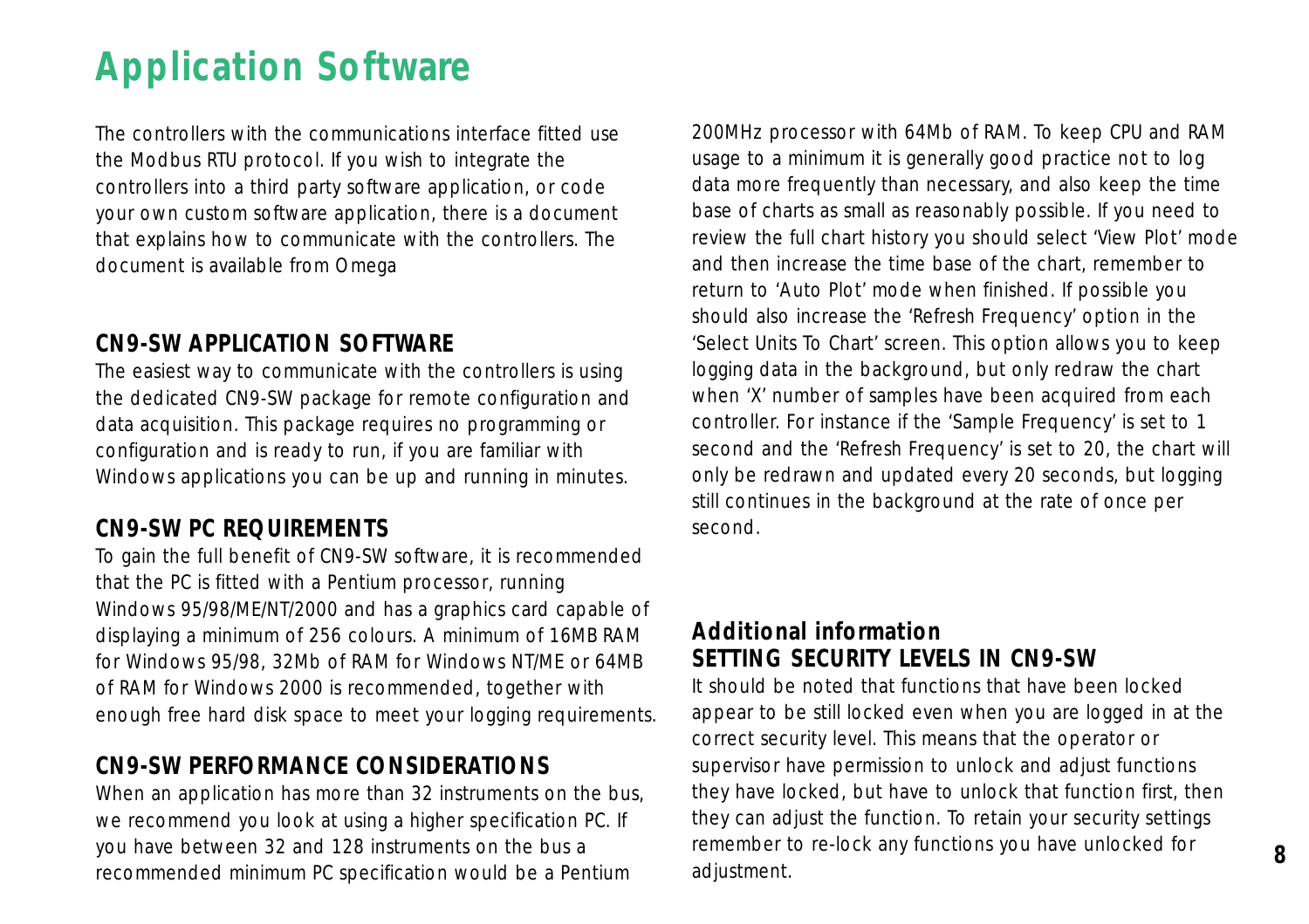# **Application Software**

The controllers with the communications interface fitted use the Modbus RTU protocol. If you wish to integrate the controllers into a third party software application, or code your own custom software application, there is a document that explains how to communicate with the controllers. The document is available from Omega

# **CN9-SW APPLICATION SOFTWARE**

The easiest way to communicate with the controllers is using the dedicated CN9-SW package for remote configuration and data acquisition. This package requires no programming or configuration and is ready to run, if you are familiar with Windows applications you can be up and running in minutes.

# **CN9-SW PC REQUIREMENTS**

To gain the full benefit of CN9-SW software, it is recommended that the PC is fitted with a Pentium processor, running Windows 95/98/ME/NT/2000 and has a graphics card capable of displaying a minimum of 256 colours. A minimum of 16MB RAM for Windows 95/98, 32Mb of RAM for Windows NT/ME or 64MB of RAM for Windows 2000 is recommended, together with enough free hard disk space to meet your logging requirements.

# **CN9-SW PERFORMANCE CONSIDERATIONS**

When an application has more than 32 instruments on the bus, we recommend you look at using a higher specification PC. If you have between 32 and 128 instruments on the bus a recommended minimum PC specification would be a Pentium

200MHz processor with 64Mb of RAM. To keep CPU and RAM usage to a minimum it is generally good practice not to log data more frequently than necessary, and also keep the time base of charts as small as reasonably possible. If you need to review the full chart history you should select 'View Plot' mode and then increase the time base of the chart, remember to return to 'Auto Plot' mode when finished. If possible you should also increase the 'Refresh Frequency' option in the 'Select Units To Chart' screen. This option allows you to keep logging data in the background, but only redraw the chart when 'X' number of samples have been acquired from each controller. For instance if the 'Sample Frequency' is set to 1 second and the 'Refresh Frequency' is set to 20, the chart will only be redrawn and updated every 20 seconds, but logging still continues in the background at the rate of once per second.

# **Additional information SETTING SECURITY LEVELS IN CN9-SW**

It should be noted that functions that have been locked appear to be still locked even when you are logged in at the correct security level. This means that the operator or supervisor have permission to unlock and adjust functions they have locked, but have to unlock that function first, then they can adjust the function. To retain your security settings remember to re-lock any functions you have unlocked for adjustment.